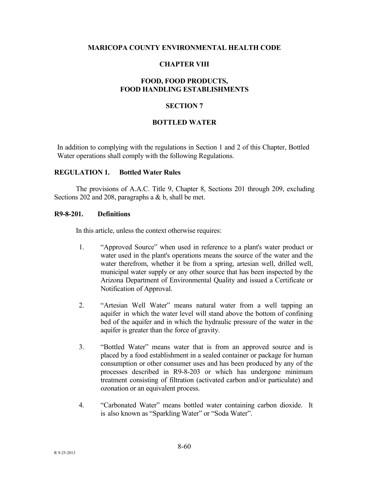#### **MARICOPA COUNTY ENVIRONMENTAL HEALTH CODE**

## **CHAPTER VIII**

# **FOOD, FOOD PRODUCTS, FOOD HANDLING ESTABLISHMENTS**

#### **SECTION 7**

#### **BOTTLED WATER**

In addition to complying with the regulations in Section 1 and 2 of this Chapter, Bottled Water operations shall comply with the following Regulations.

# **REGULATION 1. Bottled Water Rules**

 The provisions of A.A.C. Title 9, Chapter 8, Sections 201 through 209, excluding Sections 202 and 208, paragraphs a & b, shall be met.

#### **R9-8-201. Definitions**

In this article, unless the context otherwise requires:

- 1. "Approved Source" when used in reference to a plant's water product or water used in the plant's operations means the source of the water and the water therefrom, whether it be from a spring, artesian well, drilled well, municipal water supply or any other source that has been inspected by the Arizona Department of Environmental Quality and issued a Certificate or Notification of Approval.
- 2. "Artesian Well Water" means natural water from a well tapping an aquifer in which the water level will stand above the bottom of confining bed of the aquifer and in which the hydraulic pressure of the water in the aquifer is greater than the force of gravity.
- 3. "Bottled Water" means water that is from an approved source and is placed by a food establishment in a sealed container or package for human consumption or other consumer uses and has been produced by any of the processes described in R9-8-203 or which has undergone minimum treatment consisting of filtration (activated carbon and/or particulate) and ozonation or an equivalent process.
- 4. "Carbonated Water" means bottled water containing carbon dioxide. It is also known as "Sparkling Water" or "Soda Water".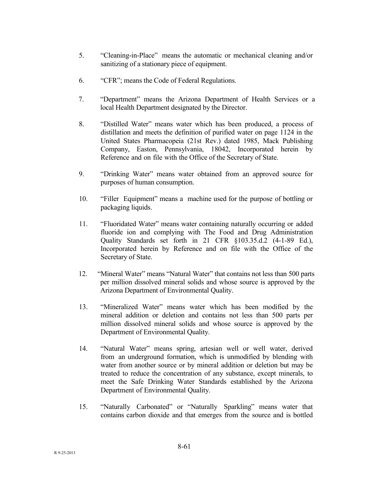- 5. "Cleaning-in-Place" means the automatic or mechanical cleaning and/or sanitizing of a stationary piece of equipment.
- 6. "CFR"; means the Code of Federal Regulations.
- 7. "Department" means the Arizona Department of Health Services or a local Health Department designated by the Director.
- 8. "Distilled Water" means water which has been produced, a process of distillation and meets the definition of purified water on page 1124 in the United States Pharmacopeia (21st Rev.) dated 1985, Mack Publishing Company, Easton, Pennsylvania, 18042, Incorporated herein by Reference and on file with the Office of the Secretary of State.
- 9. "Drinking Water" means water obtained from an approved source for purposes of human consumption.
- 10. "Filler Equipment" means a machine used for the purpose of bottling or packaging liquids.
- 11. "Fluoridated Water" means water containing naturally occurring or added fluoride ion and complying with The Food and Drug Administration Quality Standards set forth in 21 CFR §103.35.d.2 (4-1-89 Ed.), Incorporated herein by Reference and on file with the Office of the Secretary of State.
- 12. "Mineral Water" means "Natural Water" that contains not less than 500 parts per million dissolved mineral solids and whose source is approved by the Arizona Department of Environmental Quality.
- 13. "Mineralized Water" means water which has been modified by the mineral addition or deletion and contains not less than 500 parts per million dissolved mineral solids and whose source is approved by the Department of Environmental Quality.
- 14. "Natural Water" means spring, artesian well or well water, derived from an underground formation, which is unmodified by blending with water from another source or by mineral addition or deletion but may be treated to reduce the concentration of any substance, except minerals, to meet the Safe Drinking Water Standards established by the Arizona Department of Environmental Quality.
- 15. "Naturally Carbonated" or "Naturally Sparkling" means water that contains carbon dioxide and that emerges from the source and is bottled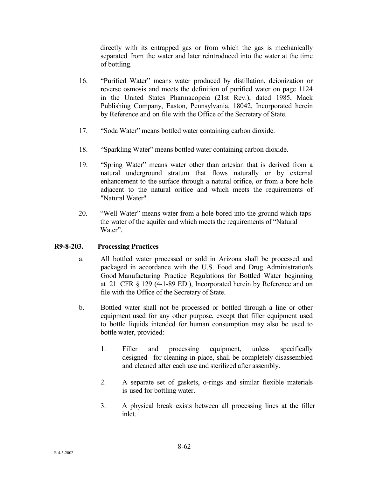directly with its entrapped gas or from which the gas is mechanically separated from the water and later reintroduced into the water at the time of bottling.

- 16. "Purified Water" means water produced by distillation, deionization or reverse osmosis and meets the definition of purified water on page 1124 in the United States Pharmacopeia (21st Rev.), dated 1985, Mack Publishing Company, Easton, Pennsylvania, 18042, Incorporated herein by Reference and on file with the Office of the Secretary of State.
- 17. "Soda Water" means bottled water containing carbon dioxide.
- 18. "Sparkling Water" means bottled water containing carbon dioxide.
- 19. "Spring Water" means water other than artesian that is derived from a natural underground stratum that flows naturally or by external enhancement to the surface through a natural orifice, or from a bore hole adjacent to the natural orifice and which meets the requirements of "Natural Water".
- 20. "Well Water" means water from a hole bored into the ground which taps the water of the aquifer and which meets the requirements of "Natural Water".

# **R9-8-203. Processing Practices**

- a. All bottled water processed or sold in Arizona shall be processed and packaged in accordance with the U.S. Food and Drug Administration's Good Manufacturing Practice Regulations for Bottled Water beginning at 21 CFR § 129 (4-1-89 ED.), Incorporated herein by Reference and on file with the Office of the Secretary of State.
- b. Bottled water shall not be processed or bottled through a line or other equipment used for any other purpose, except that filler equipment used to bottle liquids intended for human consumption may also be used to bottle water, provided:
	- 1. Filler and processing equipment, unless specifically designed for cleaning-in-place, shall be completely disassembled and cleaned after each use and sterilized after assembly.
	- 2. A separate set of gaskets, o-rings and similar flexible materials is used for bottling water.
	- 3. A physical break exists between all processing lines at the filler inlet.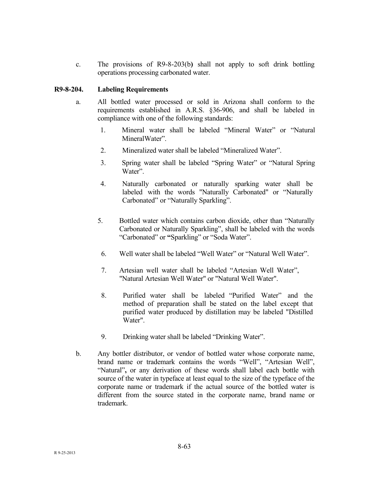c. The provisions of R9-8-203(b**)** shall not apply to soft drink bottling operations processing carbonated water.

# **R9-8-204. Labeling Requirements**

- a. All bottled water processed or sold in Arizona shall conform to the requirements established in A.R.S. §36-906, and shall be labeled in compliance with one of the following standards:
	- 1. Mineral water shall be labeled "Mineral Water" or "Natural MineralWater".
	- 2. Mineralized water shall be labeled "Mineralized Water".
	- 3. Spring water shall be labeled "Spring Water" or "Natural Spring Water".
	- 4. Naturally carbonated or naturally sparking water shall be labeled with the words "Naturally Carbonated" or "Naturally Carbonated" or "Naturally Sparkling".
	- 5. Bottled water which contains carbon dioxide, other than "Naturally Carbonated or Naturally Sparkling", shall be labeled with the words "Carbonated" or **"**Sparkling" or "Soda Water".
		- 6. Well water shall be labeled "Well Water" or "Natural Well Water".
		- 7. Artesian well water shall be labeled "Artesian Well Water", "Natural Artesian Well Water" or "Natural Well Water".
		- 8. Purified water shall be labeled "Purified Water" and the method of preparation shall be stated on the label except that purified water produced by distillation may be labeled "Distilled Water".
		- 9. Drinking water shall be labeled "Drinking Water".
- b. Any bottler distributor, or vendor of bottled water whose corporate name, brand name or trademark contains the words "Well", "Artesian Well", "Natural"**,** or any derivation of these words shall label each bottle with source of the water in typeface at least equal to the size of the typeface of the corporate name or trademark if the actual source of the bottled water is different from the source stated in the corporate name, brand name or trademark.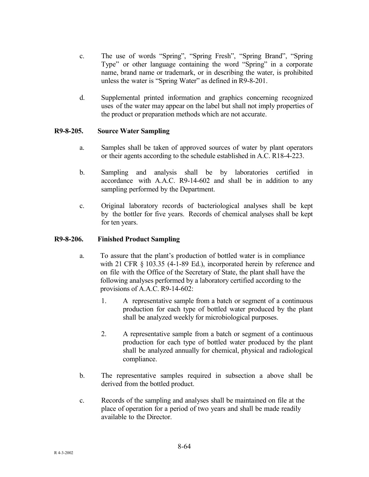- c. The use of words "Spring", "Spring Fresh", "Spring Brand", "Spring Type" or other language containing the word "Spring" in a corporate name, brand name or trademark, or in describing the water, is prohibited unless the water is "Spring Water" as defined in R9-8-201.
- d. Supplemental printed information and graphics concerning recognized uses of the water may appear on the label but shall not imply properties of the product or preparation methods which are not accurate.

# **R9-8-205. Source Water Sampling**

- a. Samples shall be taken of approved sources of water by plant operators or their agents according to the schedule established in A.C. R18-4-223.
- b. Sampling and analysis shall be by laboratories certified in accordance with A.A.C. R9-14-602 and shall be in addition to any sampling performed by the Department.
- c. Original laboratory records of bacteriological analyses shall be kept by the bottler for five years. Records of chemical analyses shall be kept for ten years.

# **R9-8-206. Finished Product Sampling**

- a. To assure that the plant's production of bottled water is in compliance with 21 CFR § 103.35 (4-1-89 Ed.), incorporated herein by reference and on file with the Office of the Secretary of State, the plant shall have the following analyses performed by a laboratory certified according to the provisions of A.A.C. R9-14-602:
	- 1. A representative sample from a batch or segment of a continuous production for each type of bottled water produced by the plant shall be analyzed weekly for microbiological purposes.
	- 2. A representative sample from a batch or segment of a continuous production for each type of bottled water produced by the plant shall be analyzed annually for chemical, physical and radiological compliance.
- b. The representative samples required in subsection a above shall be derived from the bottled product.
- c. Records of the sampling and analyses shall be maintained on file at the place of operation for a period of two years and shall be made readily available to the Director.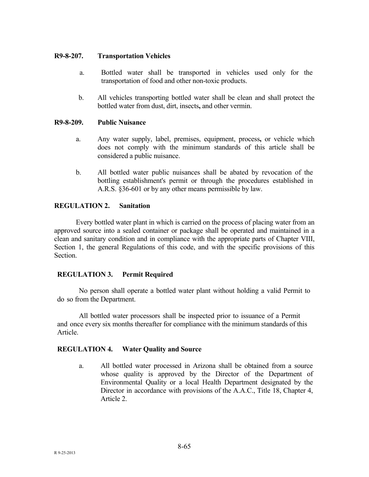## **R9-8-207. Transportation Vehicles**

- a. Bottled water shall be transported in vehicles used only for the transportation of food and other non-toxic products.
- b. All vehicles transporting bottled water shall be clean and shall protect the bottled water from dust, dirt, insects**,** and other vermin.

#### **R9-8-209. Public Nuisance**

- a. Any water supply, label, premises, equipment, process**,** or vehicle which does not comply with the minimum standards of this article shall be considered a public nuisance.
- b. All bottled water public nuisances shall be abated by revocation of the bottling establishment's permit or through the procedures established in A.R.S. §36-601 or by any other means permissible by law.

# **REGULATION 2. Sanitation**

 Every bottled water plant in which is carried on the process of placing water from an approved source into a sealed container or package shall be operated and maintained in a clean and sanitary condition and in compliance with the appropriate parts of Chapter VIII, Section 1, the general Regulations of this code, and with the specific provisions of this Section.

# **REGULATION 3. Permit Required**

No person shall operate a bottled water plant without holding a valid Permit to do so from the Department.

All bottled water processors shall be inspected prior to issuance of a Permit and once every six months thereafter for compliance with the minimum standards of this Article.

# **REGULATION 4. Water Quality and Source**

a. All bottled water processed in Arizona shall be obtained from a source whose quality is approved by the Director of the Department of Environmental Quality or a local Health Department designated by the Director in accordance with provisions of the A.A.C., Title 18, Chapter 4, Article 2.